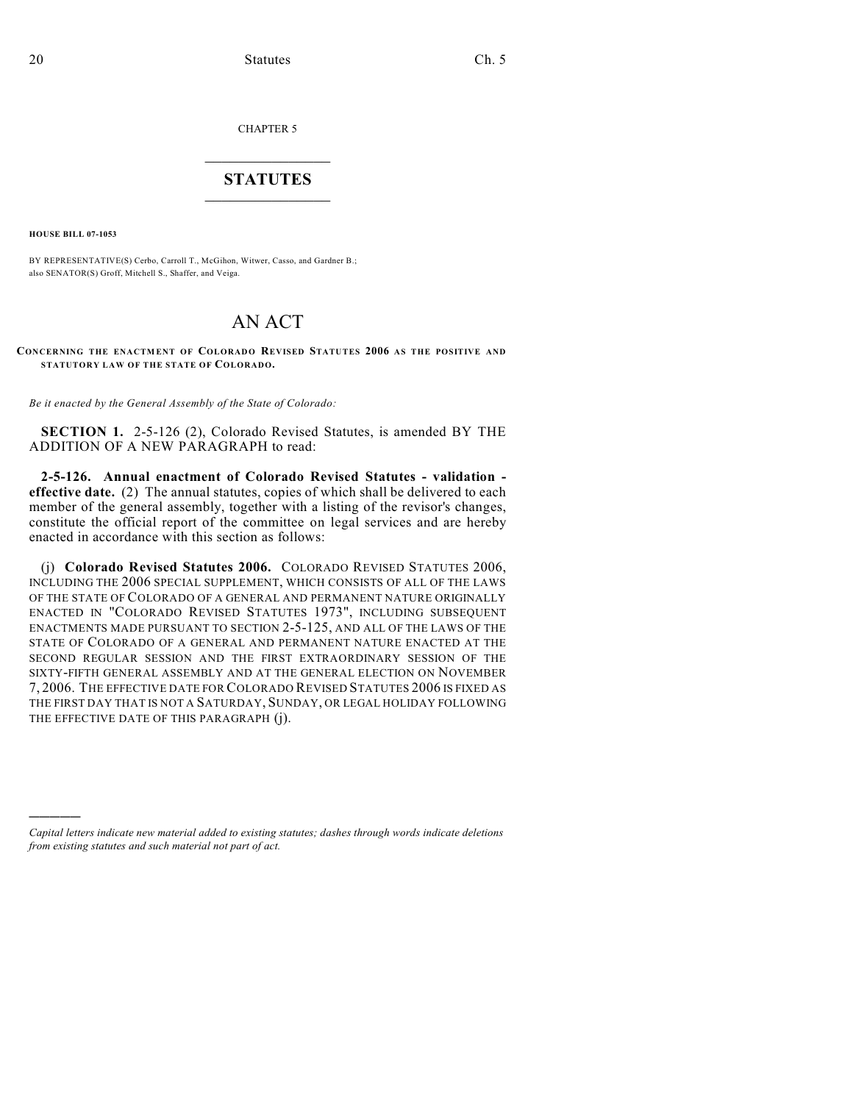CHAPTER 5

## $\mathcal{L}_\text{max}$  . The set of the set of the set of the set of the set of the set of the set of the set of the set of the set of the set of the set of the set of the set of the set of the set of the set of the set of the set **STATUTES**  $\_$   $\_$

**HOUSE BILL 07-1053**

)))))

BY REPRESENTATIVE(S) Cerbo, Carroll T., McGihon, Witwer, Casso, and Gardner B.; also SENATOR(S) Groff, Mitchell S., Shaffer, and Veiga.

## AN ACT

## **CONCERNING THE ENACTMENT OF COLORADO REVISED STATUTES 2006 AS THE POSITIVE AND STATUTORY LAW OF THE STATE OF COLORADO.**

*Be it enacted by the General Assembly of the State of Colorado:*

**SECTION 1.** 2-5-126 (2), Colorado Revised Statutes, is amended BY THE ADDITION OF A NEW PARAGRAPH to read:

**2-5-126. Annual enactment of Colorado Revised Statutes - validation effective date.** (2) The annual statutes, copies of which shall be delivered to each member of the general assembly, together with a listing of the revisor's changes, constitute the official report of the committee on legal services and are hereby enacted in accordance with this section as follows:

(j) **Colorado Revised Statutes 2006.** COLORADO REVISED STATUTES 2006, INCLUDING THE 2006 SPECIAL SUPPLEMENT, WHICH CONSISTS OF ALL OF THE LAWS OF THE STATE OF COLORADO OF A GENERAL AND PERMANENT NATURE ORIGINALLY ENACTED IN "COLORADO REVISED STATUTES 1973", INCLUDING SUBSEQUENT ENACTMENTS MADE PURSUANT TO SECTION 2-5-125, AND ALL OF THE LAWS OF THE STATE OF COLORADO OF A GENERAL AND PERMANENT NATURE ENACTED AT THE SECOND REGULAR SESSION AND THE FIRST EXTRAORDINARY SESSION OF THE SIXTY-FIFTH GENERAL ASSEMBLY AND AT THE GENERAL ELECTION ON NOVEMBER 7, 2006. THE EFFECTIVE DATE FOR COLORADO REVISED STATUTES 2006 IS FIXED AS THE FIRST DAY THAT IS NOT A SATURDAY, SUNDAY, OR LEGAL HOLIDAY FOLLOWING THE EFFECTIVE DATE OF THIS PARAGRAPH (j).

*Capital letters indicate new material added to existing statutes; dashes through words indicate deletions from existing statutes and such material not part of act.*